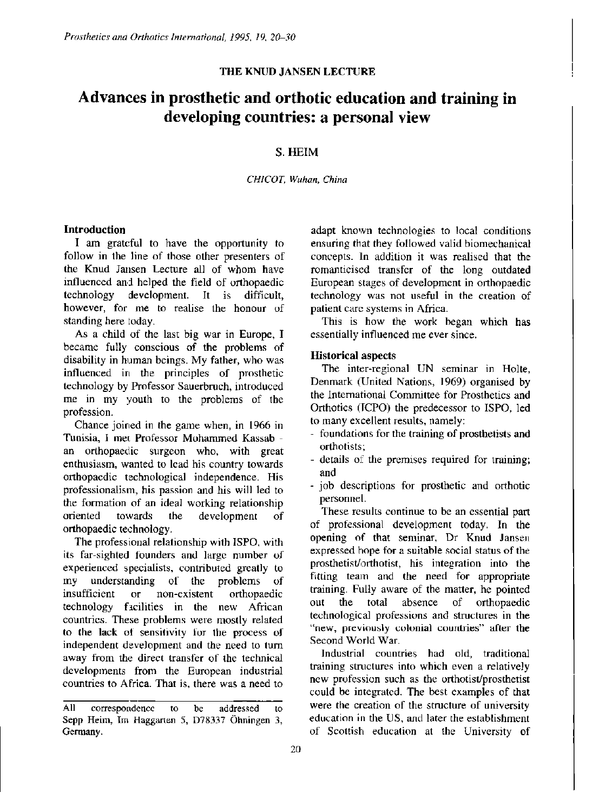# **THE KNUD JANSEN LECTURE**

# **Advances in prosthetic and orthotic education and training in developing countries: a personal view**

# S. HEIM

*CHICOT, Wuhan, China* 

# **Introduction**

I am grateful to have the opportunity to follow in the line of those other presenters of the Knud Jansen Lecture all of whom have influenced and helped the field of orthopaedic technology development. It is difficult, however, for me to realise the honour of standing here today.

As a child of the last big war in Europe, I became fully conscious of the problems of disability in human beings. My father, who was influenced in the principles of prosthetic technology by Professor Sauerbruch, introduced me in my youth to the problems of the profession.

Chance joined in the game when, in 1966 in Tunisia, I met. Professor Mohammed Kassab an orthopaedic surgeon who, with great enthusiasm, wanted to lead his country towards orthopaedic technological independence. His professionalism, his passion and his will led to the formation of an ideal working relationship oriented towards the development of orthopaedic technology.

The professional relationship with ISPO, with its far-sighted founders and large number of experienced specialists, contributed greatly to my understanding of the problems of insufficient or non-existent orthopaedic technology facilities in the new African countries. These problems were mostly related to the lack of sensitivity for the process of independent development and the need to turn away from the direct transfer of the technical developments from the European industrial countries to Africa. That is, there was a need to adapt known technologies to local conditions ensuring that they followed valid biomechanical concepts. In addition it was realised that the romanticised transfer of the long outdated European stages of development in orthopaedic technology was not useful in the creation of patient care systems in Africa.

This is how the work began which has essentially influenced me ever since.

# **Historical aspects**

The inter-regional UN seminar in Holte, Denmark (United Nations, 1969) organised by the International Committee for Prosthetics and Orthotics (ICPO) the predecessor to ISPO, led to many excellent results, namely:

- foundations for the training of prosthetists and orthotists;
- details of the premises required for training; and
- job descriptions for prosthetic and orthotic personnel.

These results continue to be an essential part of professional development today. In the opening of that seminar, Dr Knud Jansen expressed hope for a suitable social status of the prosthetist/orthotist, his integration into the fitting team and the need for appropriate training. Fully aware of the matter, he pointed out the total absence of orthopaedic technological professions and structures in the "new, previously colonial countries" after the Second World War.

Industrial countries had old, traditional training structures into which even a relatively new profession such as the orthotist/prosthetist could be integrated. The best examples of that were the creation of the structure of university education in the US, and later the establishment of Scottish education at the University of

**All correspondence to be addressed to Sepp Heim, Im Haggarten 5, D78337 Öhningen 3, Germany.**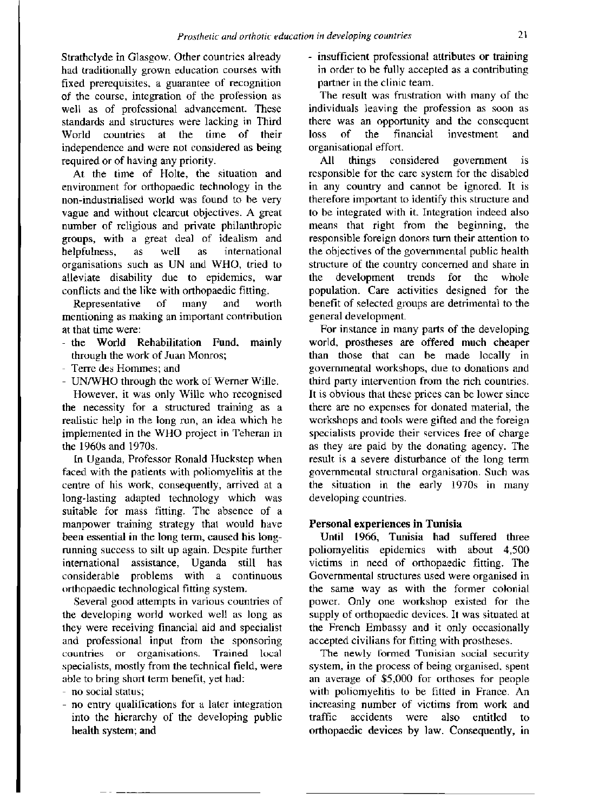Strathclyde in Glasgow. Other countries already had traditionally grown education courses with fixed prerequisites, a guarantee of recognition of the course, integration of the profession as well as of professional advancement. These standards and structures were lacking in Third World countries at the time of their independence and were not considered as being required or of having any priority.

At the time of Holte, the situation and environment for orthopaedic technology in the non-industrialised world was found to be very vague and without clearcut objectives. A great number of religious and private philanthropic groups, with a great deal of idealism and helpfulness, as well as international organisations such as UN and WHO, tried to alleviate disability due to epidemics, war conflicts and the like with orthopaedic fitting.

Representative of many and worth mentioning as making an important contribution at that time were:

- the World Rehabilitation Fund, mainly through the work of Juan Monros;
- Terre des Hommes; and
- UN/WHO through the work of Werner Wille.

However, it was only Wille who recognised the necessity for a structured training as a realistic help in the long run, an idea which he implemented in the WHO project in Teheran in the 1960s and 1970s.

In Uganda, Professor Ronald Huckstep when faced with the patients with poliomyelitis at the centre of his work, consequently, arrived at a long-lasting adapted technology which was suitable for mass fitting. The absence of a manpower training strategy that would have been essential in the long term, caused his longrunning success to silt up again. Despite further international assistance, Uganda still has considerable problems with a continuous orthopaedic technological fitting system.

Several good attempts in various countries of the developing world worked well as long as they were receiving financial aid and specialist and professional input from the sponsoring countries or organisations. Trained local specialists, mostly from the technical field, were able to bring short term benefit, yet had:

- no social status;
- no entry qualifications for a later integration into the hierarchy of the developing public health system; and

- insufficient professional attributes or training in order to be fully accepted as a contributing partner in the clinic team.

The result was frustration with many of the individuals leaving the profession as soon as there was an opportunity and the consequent<br>loss of the financial investment and loss of the financial investment organisational effort.

All things considered government is responsible for the care system for the disabled in any country and cannot be ignored. It is therefore important to identify this structure and to be integrated with it. Integration indeed also means that right from the beginning, the responsible foreign donors turn their attention to the objectives of the governmental public health structure of the country concerned and share in the development trends for the whole population. Care activities designed for the benefit of selected groups are detrimental to the general development.

For instance in many parts of the developing world, prostheses are offered much cheaper than those that can be made locally in governmental workshops, due to donations and third party intervention from the rich countries. It is obvious that these prices can be lower since there are no expenses for donated material, the workshops and tools were gifted and the foreign specialists provide their services free of charge as they are paid by the donating agency. The result is a severe disturbance of the long term governmental structural organisation. Such was the situation in the early 1970s in many developing countries.

### **Personal experiences in Tunisia**

Until 1966, Tunisia had suffered three poliomyelitis epidemics with about 4,500 victims in need of orthopaedic fitting. The Governmental structures used were organised in the same way as with the former colonial power. Only one workshop existed for the supply of orthopaedic devices. It was situated at the French Embassy and it only occasionally accepted civilians for fitting with prostheses.

The newly formed Tunisian social security system, in the process of being organised, spent an average of \$5,000 for orthoses for people with poliomyelitis to be fitted in France. An increasing number of victims from work and traffic accidents were also entitled to orthopaedic devices by law. Consequently, in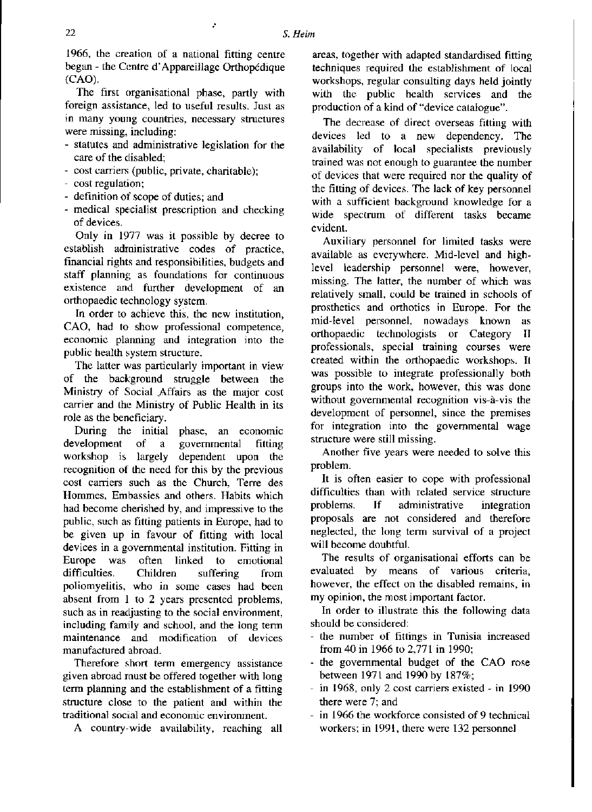1966, the creation of a national fitting centre began - the Centre d'Appareillage Orthopédique (CAO).

The first organisational phase, partly with foreign assistance, led to useful results. Just as in many young countries, necessary structures were missing, including:

- statutes and administrative legislation for the care of the disabled;
- cost carriers (public, private, charitable);
- cost regulation;
- definition of scope of duties; and
- medical specialist prescription and checking of devices.

Only in 1977 was it possible by decree to establish administrative codes of practice, financial rights and responsibilities, budgets and staff planning as foundations for continuous existence and further development of an orthopaedic technology system.

In order to achieve this, the new institution, CAO, had to show professional competence, economic planning and integration into the public health system structure.

The latter was particularly important in view of the background struggle between the Ministry of Social Affairs as the major cost carrier and the Ministry of Public Health in its role as the beneficiary.

During the initial phase, an economic development of a governmental fitting workshop is largely dependent upon the recognition of the need for this by the previous cost carriers such as the Church, Terre des Hommes, Embassies and others. Habits which had become cherished by, and impressive to the public, such as fitting patients in Europe, had to be given up in favour of fitting with local devices in a governmental institution. Fitting in Europe was often linked to emotional difficulties. Children suffering from poliomyelitis, who in some cases had been absent from 1 to 2 years presented problems, such as in readjusting to the social environment, including family and school, and the long term maintenance and modification of devices manufactured abroad.

Therefore short term emergency assistance given abroad must be offered together with long term planning and the establishment of a fitting structure close to the patient and within the traditional social and economic environment.

A country-wide availability, reaching all

areas, together with adapted standardised fitting techniques required the establishment of local workshops, regular consulting days held jointly with the public health services and the production of a kind of "device catalogue".

The decrease of direct overseas fitting with devices led to a new dependency. The availability of local specialists previously trained was not enough to guarantee the number of devices that were required nor the quality of the fitting of devices. The lack of key personnel with a sufficient background knowledge for a wide spectrum of different tasks became evident.

Auxiliary personnel for limited tasks were available as everywhere. Mid-level and highlevel leadership personnel were, however, missing. The latter, the number of which was relatively small, could be trained in schools of prosthetics and orthotics in Europe. For the mid-level personnel, nowadays known as orthopaedic technologists or Category II professionals, special training courses were created within the orthopaedic workshops. It was possible to integrate professionally both groups into the work, however, this was done without governmental recognition vis-à-vis the development of personnel, since the premises for integration into the governmental wage structure were still missing.

Another five years were needed to solve this problem.

It is often easier to cope with professional difficulties than with related service structure problems. If administrative integration proposals are not considered and therefore neglected, the long term survival of a project will become doubtful.

The results of organisational efforts can be evaluated by means of various criteria, however, the effect on the disabled remains, in my opinion, the most important factor.

In order to illustrate this the following data should be considered:

- the number of fittings in Tunisia increased from 40 in 1966 to 2,771 in 1990;
- the governmental budget of the CAO rose between 1971 and 1990 by 187%;
- in 1968, only 2 cost carriers existed in 1990 there were 7; and
- in 1966 the workforce consisted of 9 technical workers; in 1991, there were 132 personnel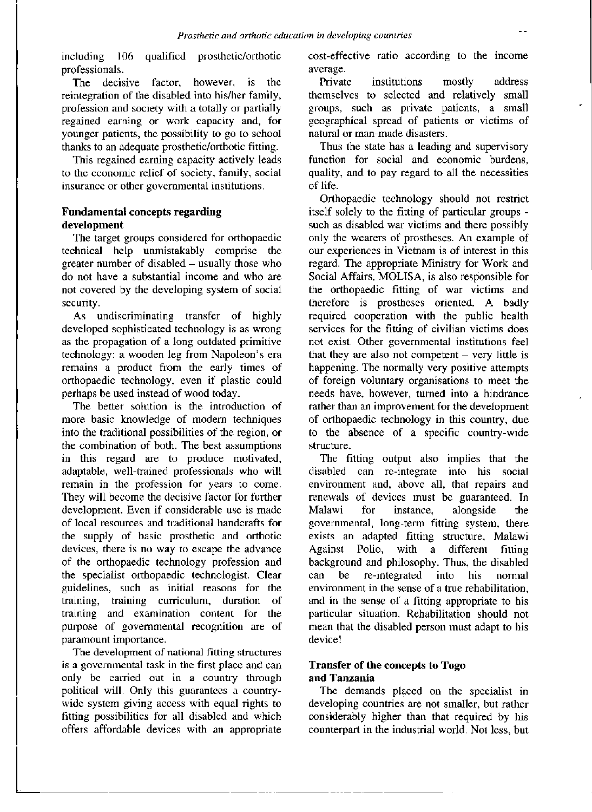including 106 qualified prosthetic/orthotic professionals.

The decisive factor, however, is the reintegration of the disabled into his/her family, profession and society with a totally or partially regained earning or work capacity and, for younger patients, the possibility to go to school thanks to an adequate prosthetic/orthotic fitting.

This regained earning capacity actively leads to the economic relief of society, family, social insurance or other governmental institutions.

# **Fundamental concepts regarding development**

The target groups considered for orthopaedic technical help unmistakably comprise the greater number of disabled  $-$  usually those who do not have a substantial income and who are not covered by the developing system of social security.

As undiscriminating transfer of highly developed sophisticated technology is as wrong as the propagation of a long outdated primitive technology: a wooden leg from Napoleon's era remains a product from the early times of orthopaedic technology, even if plastic could perhaps be used instead of wood today.

The better solution is the introduction of more basic knowledge of modern techniques into the traditional possibilities of the region, or the combination of both. The best assumptions in this regard are to produce motivated, adaptable, well-trained professionals who will remain in the profession for years to come. They will become the decisive factor for further development. Even if considerable use is made of local resources and traditional handcrafts for the supply of basic prosthetic and orthotic devices, there is no way to escape the advance of the orthopaedic technology profession and the specialist orthopaedic technologist. Clear guidelines, such as initial reasons for the training, training curriculum, duration of training and examination content for the purpose of governmental recognition are of paramount importance.

The development of national fitting structures is a governmental task in the first place and can only be carried out in a country through political will. Only this guarantees a countrywide system giving access with equal rights to fitting possibilities for all disabled and which offers affordable devices with an appropriate cost-effective ratio according to the income average.

Private institutions mostly address themselves to selected and relatively small groups, such as private patients, a small geographical spread of patients or victims of natural or man-made disasters.

Thus the state has a leading and supervisory function for social and economic burdens, quality, and to pay regard to all the necessities of life.

Orthopaedic technology should not restrict itself solely to the fitting of particular groups such as disabled war victims and there possibly only the wearers of prostheses. An example of our experiences in Vietnam is of interest in this regard. The appropriate Ministry for Work and Social Affairs, MOLISA, is also responsible for the orthopaedic fitting of war victims and therefore is prostheses oriented. A badly required cooperation with the public health services for the fitting of civilian victims does not exist. Other governmental institutions feel that they are also not competent  $-$  very little is happening. The normally very positive attempts of foreign voluntary organisations to meet the needs have, however, turned into a hindrance rather than an improvement for the development of orthopaedic technology in this country, due to the absence of a specific country-wide structure.

The fitting output also implies that the disabled can re-integrate into his social environment and, above all, that repairs and renewals of devices must be guaranteed. In Malawi for instance, alongside the governmental, long-term fitting system, there exists an adapted fitting structure, Malawi Against Polio, with a different fitting background and philosophy. Thus, the disabled can be re-integrated into his normal environment in the sense of a true rehabilitation, and in the sense of a fitting appropriate to his particular situation. Rehabilitation should not mean that the disabled person must adapt to his device!

#### **Transfer of the concepts to Togo and Tanzania**

The demands placed on the specialist in developing countries are not smaller, but rather considerably higher than that required by his counterpart in the industrial world. Not less, but  $\sim$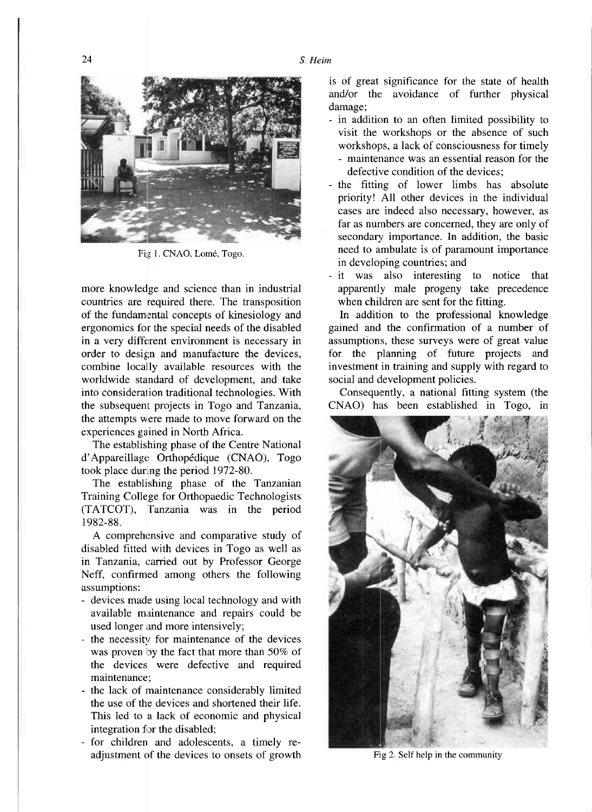

**Fig 1. CNAO, Lome, Togo.** 

more knowledge and science than in industrial countries are required there. The transposition of the fundamental concepts of kinesiology and ergonomics for the special needs of the disabled in a very different environment is necessary in order to design and manufacture the devices, combine locally available resources with the worldwide standard of development, and take into consideration traditional technologies. With the subsequent projects in Togo and Tanzania, the attempts were made to move forward on the experiences gained in North Africa.

The establishing phase of the Centre National d'Appareillage Orthopédique (CNAO), Togo took place during the period 1972-80.

The establishing phase of the Tanzanian Training College for Orthopaedic Technologists (TATCOT), Tanzania was in the period 1982-88.

A comprehensive and comparative study of disabled fitted with devices in Togo as well as in Tanzania, carried out by Professor George Neff, confirmed among others the following assumptions:

- devices made using local technology and with available maintenance and repairs could be used longer and more intensively;
- the necessity for maintenance of the devices was proven by the fact that more than 50% of the devices were defective and required maintenance;
- the lack of maintenance considerably limited the use of the devices and shortened their life. This led to a lack of economic and physical integration for the disabled;
- for children and adolescents, a timely readjustment of the devices to onsets of growth

is of great significance for the state of health and/or the avoidance of further physical damage;

- in addition to an often limited possibility to visit the workshops or the absence of such workshops, a lack of consciousness for timely
	- maintenance was an essential reason for the defective condition of the devices;
- the fitting of lower limbs has absolute priority! All other devices in the individual cases are indeed also necessary, however, as far as numbers are concerned, they are only of secondary importance. In addition, the basic need to ambulate is of paramount importance in developing countries; and
- it was also interesting to notice that apparently male progeny take precedence when children are sent for the fitting.

In addition to the professional knowledge gained and the confirmation of a number of assumptions, these surveys were of great value for the planning of future projects and investment in training and supply with regard to social and development policies.

Consequently, a national fitting system (the CNAO) has been established in Togo, in



Fig 2. Self help in the community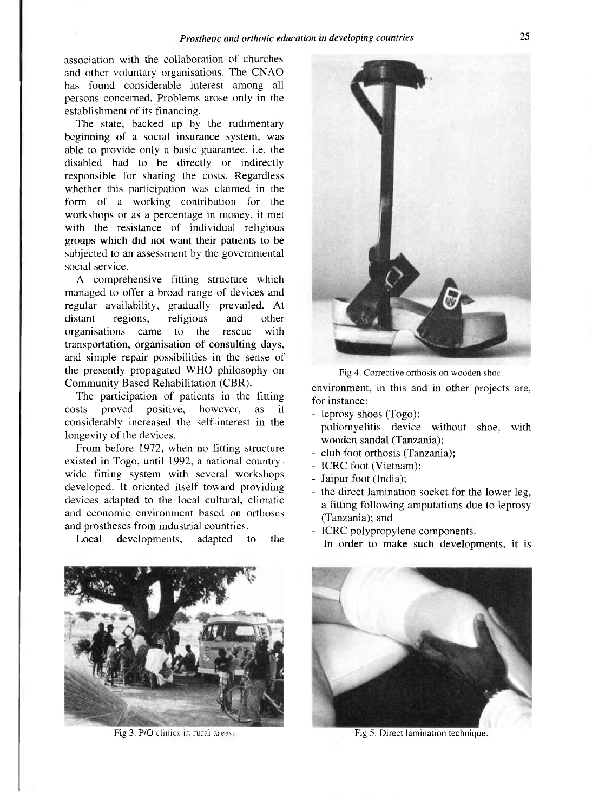association with the collaboration of churches and other voluntary organisations. The CNAO has found considerable interest among all persons concerned. Problems arose only in the establishment of its financing.

The state, backed up by the rudimentary beginning of a social insurance system, was able to provide only a basic guarantee, i.e. the disabled had to be directly or indirectly responsible for sharing the costs. Regardless whether this participation was claimed in the form of a working contribution for the workshops or as a percentage in money, it met with the resistance of individual religious groups which did not want their patients to be subjected to an assessment by the governmental social service.

A comprehensive fitting structure which managed to offer a broad range of devices and regular availability, gradually prevailed. At distant regions, religious and other organisations came to the rescue with transportation, organisation of consulting days, and simple repair possibilities in the sense of the presently propagated WHO philosophy on Community Based Rehabilitation (CBR).

The participation of patients in the fitting costs proved positive, however, as it considerably increased the self-interest in the longevity of the devices.

From before 1972, when no fitting structure existed in Togo, until 1992, a national countrywide fitting system with several workshops developed. It oriented itself toward providing devices adapted to the local cultural, climatic and economic environment based on orthoses and prostheses from industrial countries.

Local developments, adapted to the



Fig 4. Corrective orthosis on wooden shoe.

environment, in this and in other projects are. for instance:

- leprosy shoes (Togo):
- poliomyelitis device without shoe, with wooden sandal (Tanzania);
- club foot orthosis (Tanzania);
- ICRC foot (Vietnam);
- Jaipur foot (India);
- the direct lamination socket for the lower leg, a fitting following amputations due to leprosy (Tanzania); and

- ICRC polypropylene components. In order to make such developments, it is





**Fig 3. P/O clinics in rural areas.** Fig 5. Direct lamination technique.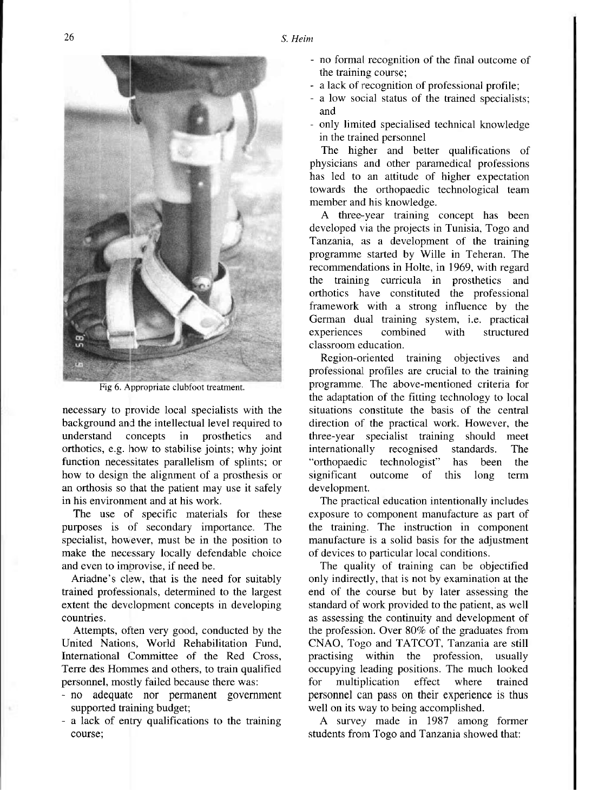

Fig 6. Appropriate clubfoot treatment.

**Fig 6. Appropriate clubfoot treatment.**  necessary to provide local specialists with the background and the intellectual level required to<br>understand concents in prosthetics and prosthetics orthotics, e.g. how to stabilise joints; why joint function necessitates parallelism of splints; or how to design the alignment of a prosthesis or an orthosis so that the patient may use it safely in his environment and at his work.

The use of specific materials for these purposes is of secondary importance. The specialist, however, must be in the position to make the necessary locally defendable choice and even to improvise, if need be.

Ariadne's clew, that is the need for suitably trained professionals, determined to the largest extent the development concepts in developing countries.

Attempts, often very good, conducted by the United Nations, World Rehabilitation Fund, International Committee of the Red Cross, Terre des Hommes and others, to train qualified personnel, mostly failed because there was:

- no adequate nor permanent government supported training budget;
- a lack of entry qualifications to the training course;
- no formal recognition of the final outcome of the training course;
- a lack of recognition of professional profile;
- a low social status of the trained specialists; and
- only limited specialised technical knowledge in the trained personnel

The higher and better qualifications of physicians and other paramedical professions has led to an attitude of higher expectation towards the orthopaedic technological team member and his knowledge.

A three-year training concept has been developed via the projects in Tunisia, Togo and Tanzania, as a development of the training programme started by Wille in Teheran. The recommendations in Holte, in 1969, with regard the training curricula in prosthetics and orthotics have constituted the professional framework with a strong influence by the German dual training system, i.e. practical experiences combined with structured classroom education.

Region-oriented training objectives and professional profiles are crucial to the training programme. The above-mentioned criteria for the adaptation of the fitting technology to local situations constitute the basis of the central direction of the practical work. However, the three-year specialist training should meet internationally recognised standards. The "orthopaedic technologist" has been the significant outcome of this long term development.

The practical education intentionally includes exposure to component manufacture as part of the training. The instruction in component manufacture is a solid basis for the adjustment of devices to particular local conditions.

The quality of training can be objectified only indirectly, that is not by examination at the end of the course but by later assessing the standard of work provided to the patient, as well as assessing the continuity and development of the profession. Over 80% of the graduates from CNAO, Togo and TATCOT, Tanzania are still practising within the profession, usually occupying leading positions. The much looked for multiplication effect where trained personnel can pass on their experience is thus well on its way to being accomplished.

A survey made in 1987 among former students from Togo and Tanzania showed that: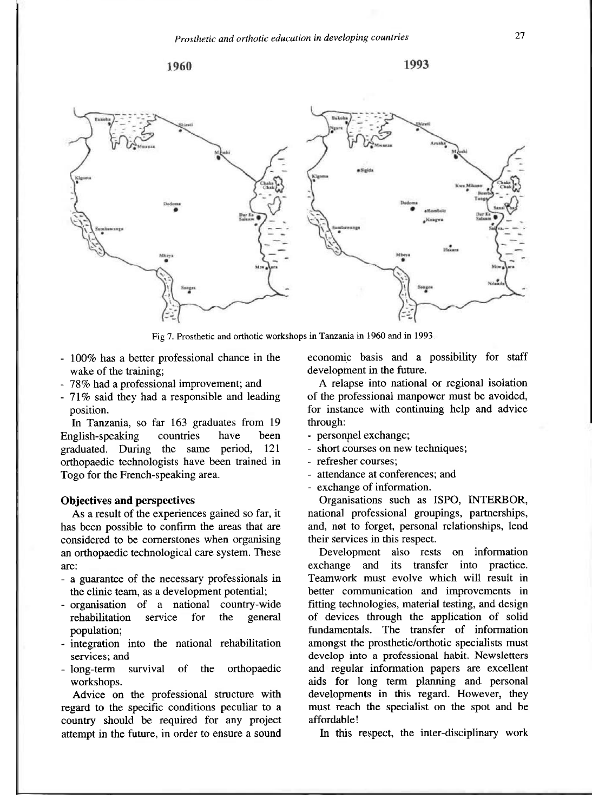1960

1993



**Fig 7. Prosthetic and orthotic workshops in Tanzania in 1960 and in 1993.** 

- 100% has a better professional chance in the wake of the training;
- 78% had a professional improvement; and
- 71% said they had a responsible and leading position.

In Tanzania, so far 163 graduates from 19 English-speaking countries have been graduated. During the same period, 121 orthopaedic technologists have been trained in Togo for the French-speaking area.

#### **Objectives and perspectives**

As a result of the experiences gained so far, it has been possible to confirm the areas that are considered to be cornerstones when organising an orthopaedic technological care system. These are:

- a guarantee of the necessary professionals in the clinic team, as a development potential;
- organisation of a national country-wide rehabilitation service for the general population;
- integration into the national rehabilitation services; and
- long-term survival of the orthopaedic workshops.

Advice on the professional structure with regard to the specific conditions peculiar to a country should be required for any project attempt in the future, in order to ensure a sound economic basis and a possibility for staff development in the future.

A relapse into national or regional isolation of the professional manpower must be avoided, for instance with continuing help and advice through:

- personnel exchange;
- short courses on new techniques;
- refresher courses;
- attendance at conferences; and
- exchange of information.

Organisations such as ISPO, INTERBOR, national professional groupings, partnerships, and, not to forget, personal relationships, lend their services in this respect.

Development also rests on information exchange and its transfer into practice. Teamwork must evolve which will result in better communication and improvements in fitting technologies, material testing, and design of devices through the application of solid fundamentals. The transfer of information amongst the prosthetic/orthotic specialists must develop into a professional habit. Newsletters and regular information papers are excellent aids for long term planning and personal developments in this regard. However, they must reach the specialist on the spot and be affordable!

In this respect, the inter-disciplinary work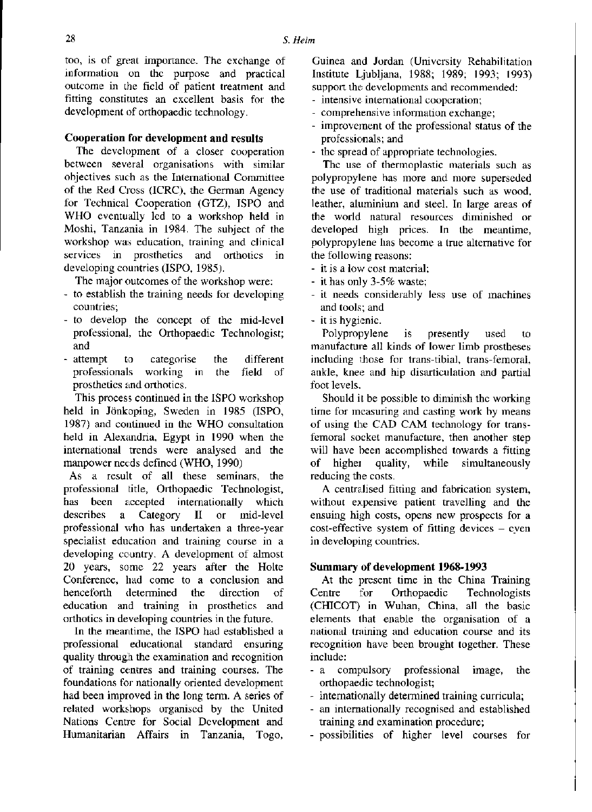too, is of great importance. The exchange of information on the purpose and practical outcome in the field of patient treatment and fitting constitutes an excellent basis for the development of orthopaedic technology.

#### **Cooperation for development and results**

The development of a closer cooperation between several organisations with similar objectives such as the International Committee of the Red Cross (ICRC), the German Agency for Technical Cooperation (GTZ), ISPO and WHO eventually led to a workshop held in Moshi, Tanzania in 1984. The subject of the workshop was education, training and clinical services in prosthetics and orthotics in developing countries (ISPO, 1985).

The major outcomes of the workshop were:

- to establish the training needs for developing countries;
- to develop the concept of the mid-level professional, the Orthopaedic Technologist; and
- attempt to categorise the different professionals working in the field of prosthetics and orthotics.

This process continued in the ISPO workshop held in Jönköping, Sweden in 1985 (ISPO, 1987) and continued in the WHO consultation held in Alexandria, Egypt in 1990 when the international trends were analysed and the manpower needs defined (WHO, 1990)

As a result of all these seminars, the professional title, Orthopaedic Technologist, has been accepted internationally which describes a Category II or mid-level professional who has undertaken a three-year specialist education and training course in a developing country. A development of almost 20 years, some 22 years after the Holte Conference, had come to a conclusion and henceforth determined the direction of education and training in prosthetics and orthotics in developing countries in the future.

In the meantime, the ISPO had established a professional educational standard ensuring quality through the examination and recognition of training centres and training courses. The foundations for nationally oriented development had been improved in the long term. A series of related workshops organised by the United Nations Centre for Social Development and Humanitarian Affairs in Tanzania, Togo, Guinea and Jordan (University Rehabilitation Institute Ljubljana, 1988; 1989; 1993; 1993) support the developments and recommended:

- intensive international cooperation;
- comprehensive information exchange;
- improvement of the professional status of the professionals; and
- the spread of appropriate technologies.

The use of thermoplastic materials such as polypropylene has more and more superseded the use of traditional materials such as wood, leather, aluminium and steel. In large areas of the world natural resources diminished or developed high prices. In the meantime, polypropylene has become a true alternative for the following reasons:

- it is a low cost material;
- it has only 3-5% waste;
- it needs considerably less use of machines and tools; and
- it is hygienic.

Polypropylene is presently used to manufacture all kinds of lower limb prostheses including those for trans-tibial, trans-femoral, ankle, knee and hip disarticulation and partial foot levels.

Should it be possible to diminish the working time for measuring and casting work by means of using the CAD CAM technology for transfemoral socket manufacture, then another step will have been accomplished towards a fitting of higher quality, while simultaneously reducing the costs.

A centralised fitting and fabrication system, without expensive patient travelling and the ensuing high costs, opens new prospects for a cost-effective system of fitting devices - even in developing countries.

#### **Summary of development 1968-1993**

At the present time in the China Training Centre for Orthopaedic Technologists (CHICOT) in Wuhan, China, all the basic elements that enable the organisation of a national training and education course and its recognition have been brought together. These include:

- a compulsory professional image, the orthopaedic technologist;
- internationally determined training curricula;
- an internationally recognised and established training and examination procedure;
- possibilities of higher level courses for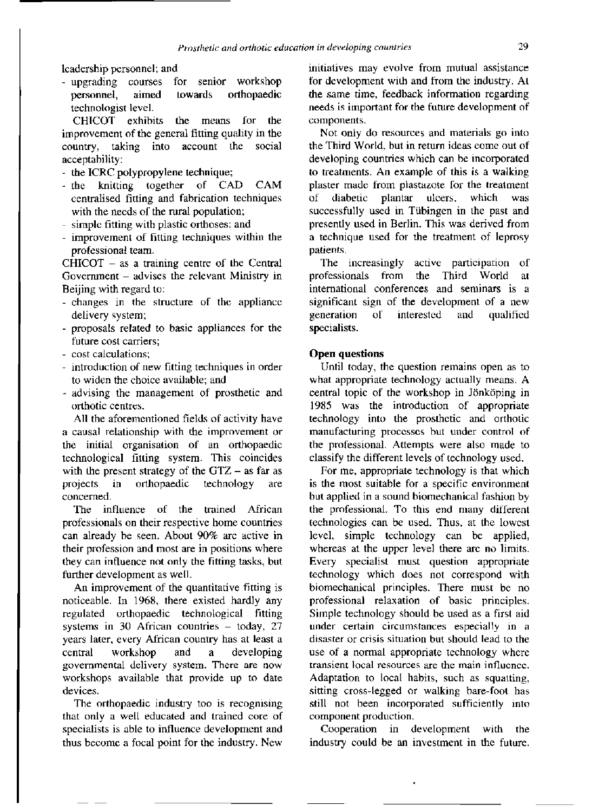leadership personnel; and

- upgrading courses for senior workshop personnel, aimed towards orthopaedic technologist level.

CHICOT exhibits the means for the improvement of the general fitting quality in the country, taking into account the social acceptability:

- the ICRC polypropylene technique;
- the knitting together of CAD CAM centralised fitting and fabrication techniques with the needs of the rural population;
- simple fitting with plastic orthoses; and
- improvement of fitting techniques within the professional team.

 $CHICOT - as a training centre of the Central$ Government - advises the relevant Ministry in Beijing with regard to:

- changes in the structure of the appliance delivery system;
- proposals related to basic appliances for the future cost carriers;
- cost calculations;
- introduction of new fitting techniques in order to widen the choice available; and
- advising the management of prosthetic and orthotic centres.

All the aforementioned fields of activity have a causal relationship with the improvement or the initial organisation of an orthopaedic technological fitting system. This coincides with the present strategy of the  $GTZ - as$  far as projects in orthopaedic technology are concerned.

The influence of the trained African professionals on their respective home countries can already be seen. About 90% are active in their profession and most are in positions where they can influence not only the fitting tasks, but further development as well.

An improvement of the quantitative fitting is noticeable. In 1968, there existed hardly any regulated orthopaedic technological fitting systems in 30 African countries - today, 27 years later, every African country has at least a central workshop and a developing governmental delivery system. There are now workshops available that provide up to date devices.

The orthopaedic industry too is recognising that only a well educated and trained core of specialists is able to influence development and thus become a focal point for the industry. New

initiatives may evolve from mutual assistance for development with and from the industry. At the same time, feedback information regarding needs is important for the future development of components.

Not only do resources and materials go into the Third World, but in return ideas come out of developing countries which can be incorporated to treatments. An example of this is a walking plaster made from plastazote for the treatment of diabetic plantar ulcers, which was successfully used in Tubingen in the past and presently used in Berlin. This was derived from a technique used for the treatment of leprosy patients.

The increasingly active participation of professionals from the Third World at international conferences and seminars is a significant sign of the development of a new generation of interested and qualified specialists.

#### **Open questions**

Until today, the question remains open as to what appropriate technology actually means. A central topic of the workshop in Jönköping in 1985 was the introduction of appropriate technology into the prosthetic and orthotic manufacturing processes but under control of the professional. Attempts were also made to classify the different levels of technology used.

For me, appropriate technology is that which is the most suitable for a specific environment but applied in a sound biomechanical fashion by the professional. To this end many different technologies can be used. Thus, at the lowest level, simple technology can be applied, whereas at the upper level there are no limits. Every specialist must question appropriate technology which does not correspond with biomechanical principles. There must be no professional relaxation of basic principles. Simple technology should be used as a first aid under certain circumstances especially in a disaster or crisis situation but should lead to the use of a normal appropriate technology where transient local resources are the main influence. Adaptation to local habits, such as squatting, sitting cross-legged or walking bare-foot has still not been incorporated sufficiently into component production.

Cooperation in development with the industry could be an investment in the future.